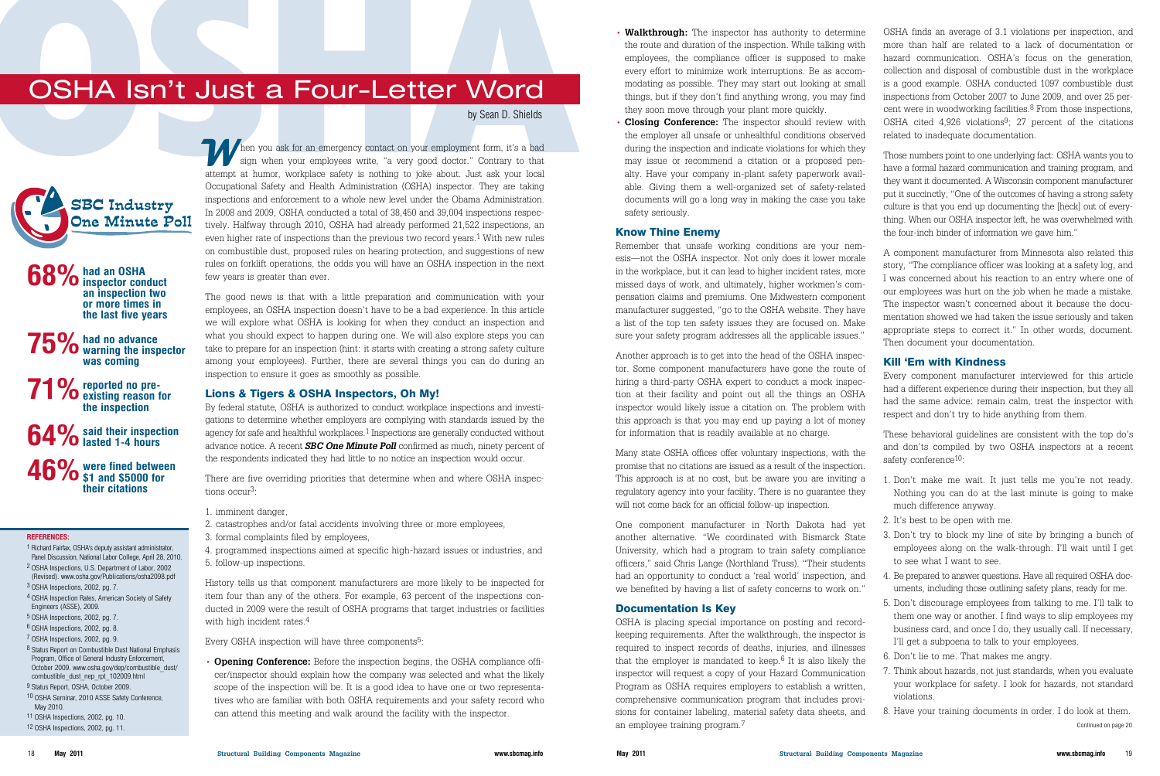History tells us that component manufacturers are more likely to be inspected for item four than any of the others. For example, 63 percent of the inspections conducted in 2009 were the result of OSHA programs that target industries or facilities with high incident rates.<sup>4</sup>

Every OSHA inspection will have three components<sup>5</sup>:

The good news is that with a little preparation and communication with your employees, an OSHA inspection doesn't have to be a bad experience. In this article we will explore what OSHA is looking for when they conduct an inspection and what you should expect to happen during one. We will also explore steps you can take to prepare for an inspection (hint: it starts with creating a strong safety culture among your employees). Further, there are several things you can do during an inspection to ensure it goes as smoothly as possible.

#### Lions & Tigers & OSHA Inspectors, Oh My!

By federal statute, OSHA is authorized to conduct workplace inspections and investigations to determine whether employers are complying with standards issued by the agency for safe and healthful workplaces.1 Inspections are generally conducted without advance notice. A recent *SBC One Minute Poll* confirmed as much, ninety percent of the respondents indicated they had little to no notice an inspection would occur.

There are five overriding priorities that determine when and where OSHA inspections occur3:

#### 1. imminent danger,

- 2. catastrophes and/or fatal accidents involving three or more employees,
- 3. formal complaints filed by employees,

4. programmed inspections aimed at specific high-hazard issues or industries, and 5. follow-up inspections.

• **Opening Conference:** Before the inspection begins, the OSHA compliance officer/inspector should explain how the company was selected and what the likely scope of the inspection will be. It is a good idea to have one or two representatives who are familiar with both OSHA requirements and your safety record who can attend this meeting and walk around the facility with the inspector.

### by Sean D. Shields

- **Walkthrough:** The inspector has authority to determine the route and duration of the inspection. While talking with employees, the compliance officer is supposed to make every effort to minimize work interruptions. Be as accommodating as possible. They may start out looking at small things, but if they don't find anything wrong, you may find they soon move through your plant more quickly.
- **Closing Conference:** The inspector should review with the employer all unsafe or unhealthful conditions observed during the inspection and indicate violations for which they may issue or recommend a citation or a proposed penalty. Have your company in-plant safety paperwork available. Giving them a well-organized set of safety-related documents will go a long way in making the case you take safety seriously.

### Know Thine Enemy

Remember that unsafe working conditions are your nemesis—not the OSHA inspector. Not only does it lower morale in the workplace, but it can lead to higher incident rates, more missed days of work, and ultimately, higher workmen's compensation claims and premiums. One Midwestern component manufacturer suggested, "go to the OSHA website. They have a list of the top ten safety issues they are focused on. Make sure your safety program addresses all the applicable issues."

Another approach is to get into the head of the OSHA inspector. Some component manufacturers have gone the route of hiring a third-party OSHA expert to conduct a mock inspection at their facility and point out all the things an OSHA inspector would likely issue a citation on. The problem with this approach is that you may end up paying a lot of money for information that is readily available at no charge.

**46%** were fined between \$1 and \$5000 for **their citations**

Many state OSHA offices offer voluntary inspections, with the promise that no citations are issued as a result of the inspection. This approach is at no cost, but be aware you are inviting a regulatory agency into your facility. There is no guarantee they will not come back for an official follow-up inspection.

One component manufacturer in North Dakota had yet another alternative. "We coordinated with Bismarck State University, which had a program to train safety compliance officers," said Chris Lange (Northland Truss). "Their students had an opportunity to conduct a 'real world' inspection, and we benefited by having a list of safety concerns to work on."

### Documentation Is Key

OSHA is placing special importance on posting and recordkeeping requirements. After the walkthrough, the inspector is required to inspect records of deaths, injuries, and illnesses that the employer is mandated to keep. $6$  It is also likely the inspector will request a copy of your Hazard Communication Program as OSHA requires employers to establish a written, comprehensive communication program that includes provisions for container labeling, material safety data sheets, and an employee training program.7

OSHA finds an average of 3.1 violations per inspection, and more than half are related to a lack of documentation or hazard communication. OSHA's focus on the generation, collection and disposal of combustible dust in the workplace is a good example. OSHA conducted 1097 combustible dust inspections from October 2007 to June 2009, and over 25 percent were in woodworking facilities. $8$  From those inspections, OSHA cited  $4,926$  violations<sup>9</sup>; 27 percent of the citations related to inadequate documentation.

Those numbers point to one underlying fact: OSHA wants you to have a formal hazard communication and training program, and they want it documented. A Wisconsin component manufacturer put it succinctly, "One of the outcomes of having a strong safety culture is that you end up documenting the [heck] out of everything. When our OSHA inspector left, he was overwhelmed with the four-inch binder of information we gave him."

A component manufacturer from Minnesota also related this story, "The compliance officer was looking at a safety log, and I was concerned about his reaction to an entry where one of our employees was hurt on the job when he made a mistake. The inspector wasn't concerned about it because the documentation showed we had taken the issue seriously and taken appropriate steps to correct it." In other words, document. Then document your documentation.

#### Kill 'Em with Kindness

Every component manufacturer interviewed for this article had a different experience during their inspection, but they all had the same advice: remain calm, treat the inspector with respect and don't try to hide anything from them.

These behavioral quidelines are consistent with the top do's and don'ts compiled by two OSHA inspectors at a recent safety conference<sup>10</sup>:

- 1. Don't make me wait. It just tells me you're not ready. Nothing you can do at the last minute is going to make much difference anyway.
- 2. It's best to be open with me.
- 3. Don't try to block my line of site by bringing a bunch of employees along on the walk-through. I'll wait until I get to see what I want to see.
- 4. Be prepared to answer questions. Have all required OSHA documents, including those outlining safety plans, ready for me.
- 5. Don't discourage employees from talking to me. I'll talk to them one way or another. I find ways to slip employees my business card, and once I do, they usually call. If necessary, I'll get a subpoena to talk to your employees.
- 6. Don't lie to me. That makes me angry.
- 7. Think about hazards, not just standards, when you evaluate your workplace for safety. I look for hazards, not standard violations.
- 8. Have your training documents in order. I do look at them.

Continued on page 20

#### **REFERENCES:**

- 1 Richard Fairfax, OSHA's deputy assistant administrator, Panel Discussion, National Labor College, April 28, 2010. 2 OSHA Inspections, U.S. Department of Labor, 2002
- (Revised). www.osha.gov/Publications/osha2098.pdf
- 3 OSHA Inspections, 2002, pg. 7.
- 4 OSHA Inspection Rates, American Society of Safety Engineers (ASSE), 2009.
- 5 OSHA Inspections, 2002, pg. 7.
- 6 OSHA Inspections, 2002, pg. 8.
- 7 OSHA Inspections, 2002, pg. 9.
- 8 Status Report on Combustible Dust National Emphasis Program, Office of General Industry Enforcement, October 2009. www.osha.gov/dep/combustible\_dust/ combustible\_dust\_nep\_rpt\_102009.html
- 9 Status Report, OSHA, October 2009.
- 10 OSHA Seminar, 2010 ASSE Safety Conference, May 2010.
- 11 OSHA Inspections, 2002, pg. 10. 12 OSHA Inspections, 2002, pg. 11.

**OSHA Isn't Just a Four-Letter Word**<br>by Sean D. Shields<br>point of a management of a state of the state and the state of the state of the state of the state of the state of the state of the state of the state of the state of hen you ask for an emergency contact on your employment form, it's a bad sign when your employees write, "a very good doctor." Contrary to that Then you ask for an emergency contact on your employment form, it's a bad sign when your employees write, "a very good doctor." Contrary to that attempt at humor, workplace safety is nothing to joke about. Just ask your lo Occupational Safety and Health Administration (OSHA) inspector. They are taking inspections and enforcement to a whole new level under the Obama Administration. In 2008 and 2009, OSHA conducted a total of 38,450 and 39,004 inspections respectively. Halfway through 2010, OSHA had already performed 21,522 inspections, an even higher rate of inspections than the previous two record years.1 With new rules on combustible dust, proposed rules on hearing protection, and suggestions of new rules on forklift operations, the odds you will have an OSHA inspection in the next few years is greater than ever.

**68%had an OSHA inspector conduct an inspection two or more times in the last five years**

**75%had no advance warning the inspector was coming**

**71%reported no pre-existing reason for the inspection**

**64%said their inspection lasted 1-4 hours**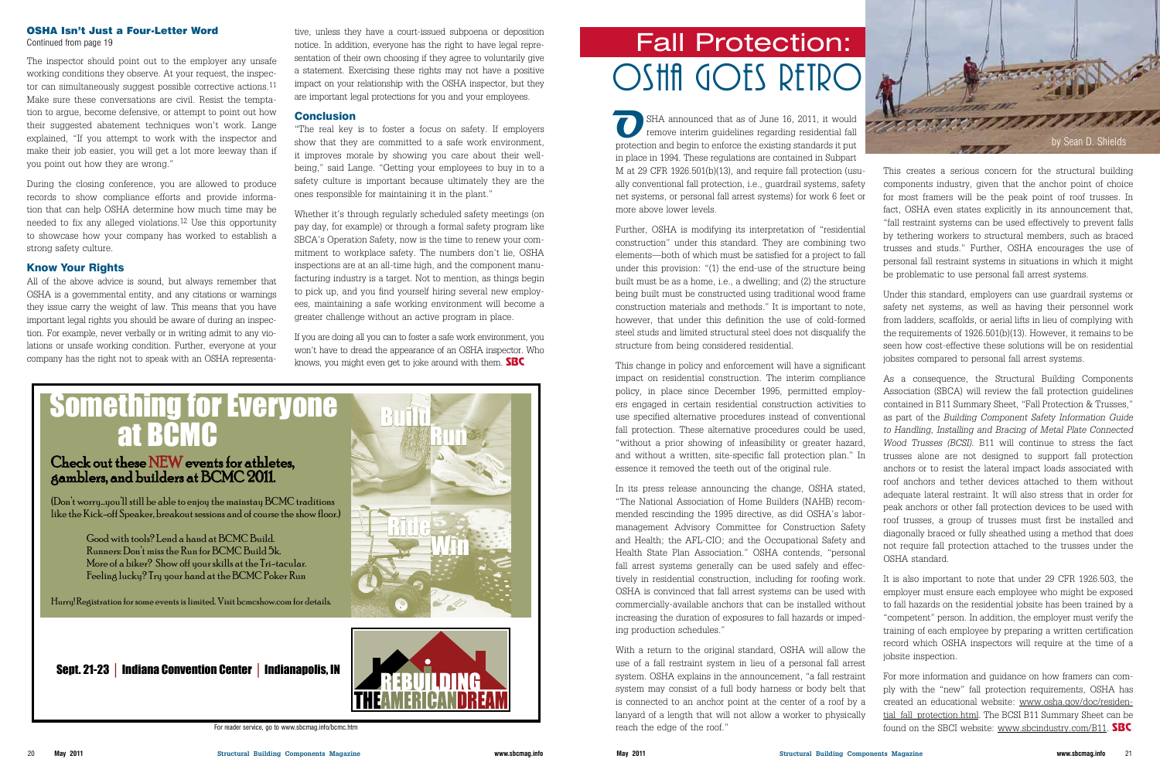#### OSHA Isn't Just a Four-Letter Word

Continued from page 19

The inspector should point out to the employer any unsafe working conditions they observe. At your request, the inspector can simultaneously suggest possible corrective actions.<sup>11</sup> Make sure these conversations are civil. Resist the temptation to argue, become defensive, or attempt to point out how their suggested abatement techniques won't work. Lange explained, "If you attempt to work with the inspector and make their job easier, you will get a lot more leeway than if you point out how they are wrong."

During the closing conference, you are allowed to produce records to show compliance efforts and provide information that can help OSHA determine how much time may be needed to fix any alleged violations.<sup>12</sup> Use this opportunity to showcase how your company has worked to establish a strong safety culture.

#### Know Your Rights

All of the above advice is sound, but always remember that OSHA is a governmental entity, and any citations or warnings they issue carry the weight of law. This means that you have important legal rights you should be aware of during an inspection. For example, never verbally or in writing admit to any violations or unsafe working condition. Further, everyone at your company has the right not to speak with an OSHA representative, unless they have a court-issued subpoena or deposition notice. In addition, everyone has the right to have legal representation of their own choosing if they agree to voluntarily give a statement. Exercising these rights may not have a positive impact on your relationship with the OSHA inspector, but they are important legal protections for you and your employees.

#### **Conclusion**

"The real key is to foster a focus on safety. If employers show that they are committed to a safe work environment, it improves morale by showing you care about their wellbeing," said Lange. "Getting your employees to buy in to a safety culture is important because ultimately they are the ones responsible for maintaining it in the plant."

Whether it's through regularly scheduled safety meetings (on pay day, for example) or through a formal safety program like SBCA's Operation Safety, now is the time to renew your commitment to workplace safety. The numbers don't lie, OSHA inspections are at an all-time high, and the component manufacturing industry is a target. Not to mention, as things begin to pick up, and you find yourself hiring several new employees, maintaining a safe working environment will become a greater challenge without an active program in place.

If you are doing all you can to foster a safe work environment, you won't have to dread the appearance of an OSHA inspector. Who knows, you might even get to joke around with them. SBC

Build<br>Run

Ride

# Something for Everyone **at BCMC**

## Check out these NEW events for athletes, gamblers, and builders at BCMC 2011.

(Don't worry...you'll still be able to enjoy the mainstay BCMC traditions like the Kick-off Speaker, breakout sessions and of course the show floor.)

> Good with tools? Lend a hand at BCMC Build. Runners: Don't miss the Run for BCMC Build 5k. More of a biker? Show off your skills at the Tri-tacular. Feeling lucky? Try your hand at the BCMC Poker Run

Hurry! Registration for some events is limited. Visit bcmcshow.com for details.

Sept. 21-23 │ Indiana Convention Center │ Indianapolis, IN



Win

For reader service, go to www.sbcmag.info/bcmc.htm